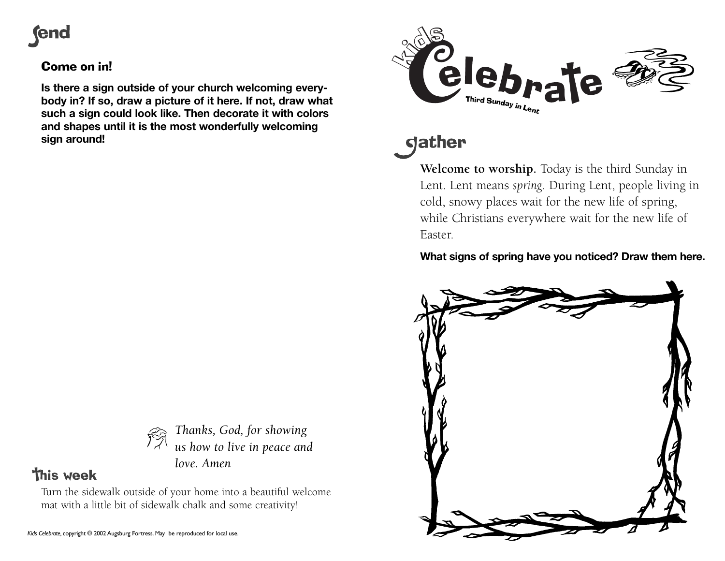# **rend**

## Come on in!

**Is there a sign outside of your church welcoming everybody in? If so, draw a picture of it here. If not, draw what such a sign could look like. Then decorate it with colors and shapes until it is the most wonderfully welcoming sign around!**



# **gather**

**Welcome to worship.** Today is the third Sunday in Lent. Lent means *spring*. During Lent, people living in cold, snowy places wait for the new life of spring, while Christians everywhere wait for the new life of Easter.

## **What signs of spring have you noticed? Draw them here.**





*Thanks, God, for showing us how to live in peace and love. Amen*

## **This week**

Turn the sidewalk outside of your home into a beautiful welcome mat with a little bit of sidewalk chalk and some creativity!